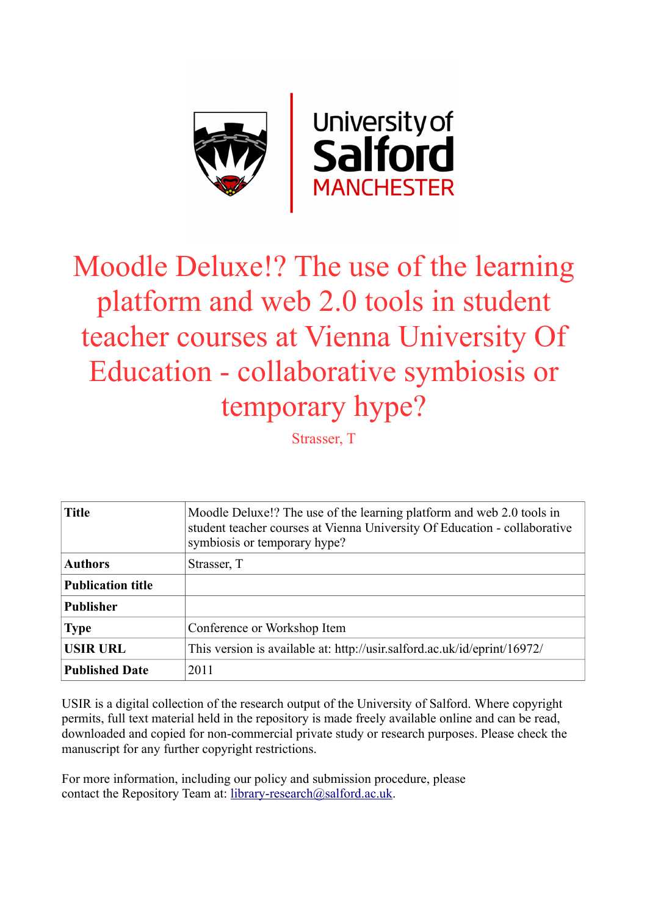

# Moodle Deluxe!? The use of the learning platform and web 2.0 tools in student teacher courses at Vienna University Of Education - collaborative symbiosis or temporary hype?

Strasser, T

| <b>Title</b>             | Moodle Deluxe!? The use of the learning platform and web 2.0 tools in<br>student teacher courses at Vienna University Of Education - collaborative<br>symbiosis or temporary hype? |
|--------------------------|------------------------------------------------------------------------------------------------------------------------------------------------------------------------------------|
| <b>Authors</b>           | Strasser, T                                                                                                                                                                        |
| <b>Publication title</b> |                                                                                                                                                                                    |
| <b>Publisher</b>         |                                                                                                                                                                                    |
| <b>Type</b>              | Conference or Workshop Item                                                                                                                                                        |
| <b>USIR URL</b>          | This version is available at: http://usir.salford.ac.uk/id/eprint/16972/                                                                                                           |
| <b>Published Date</b>    | 2011                                                                                                                                                                               |

USIR is a digital collection of the research output of the University of Salford. Where copyright permits, full text material held in the repository is made freely available online and can be read, downloaded and copied for non-commercial private study or research purposes. Please check the manuscript for any further copyright restrictions.

For more information, including our policy and submission procedure, please contact the Repository Team at: [library-research@salford.ac.uk.](mailto:library-research@salford.ac.uk)